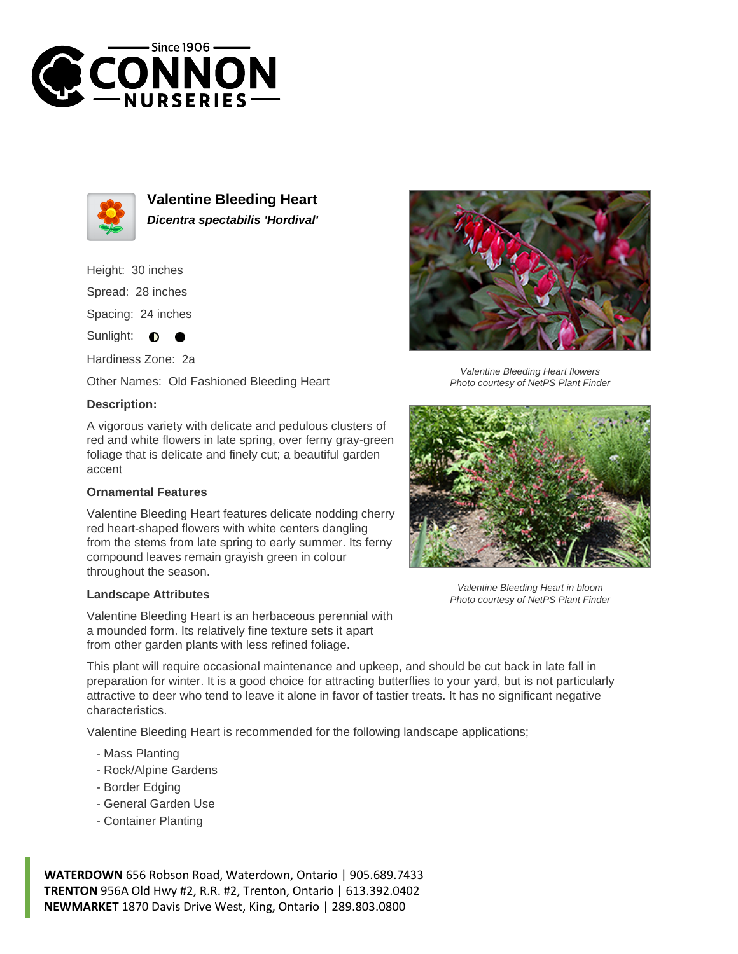



**Valentine Bleeding Heart Dicentra spectabilis 'Hordival'**

# Height: 30 inches Spread: 28 inches Spacing: 24 inches

Sunlight: **O** 

Hardiness Zone: 2a

Other Names: Old Fashioned Bleeding Heart

## **Description:**

A vigorous variety with delicate and pedulous clusters of red and white flowers in late spring, over ferny gray-green foliage that is delicate and finely cut; a beautiful garden accent

## **Ornamental Features**

Valentine Bleeding Heart features delicate nodding cherry red heart-shaped flowers with white centers dangling from the stems from late spring to early summer. Its ferny compound leaves remain grayish green in colour throughout the season.

#### **Landscape Attributes**

Valentine Bleeding Heart is an herbaceous perennial with a mounded form. Its relatively fine texture sets it apart from other garden plants with less refined foliage.

This plant will require occasional maintenance and upkeep, and should be cut back in late fall in preparation for winter. It is a good choice for attracting butterflies to your yard, but is not particularly attractive to deer who tend to leave it alone in favor of tastier treats. It has no significant negative characteristics.

Valentine Bleeding Heart is recommended for the following landscape applications;

- Mass Planting
- Rock/Alpine Gardens
- Border Edging
- General Garden Use
- Container Planting

**WATERDOWN** 656 Robson Road, Waterdown, Ontario | 905.689.7433 **TRENTON** 956A Old Hwy #2, R.R. #2, Trenton, Ontario | 613.392.0402 **NEWMARKET** 1870 Davis Drive West, King, Ontario | 289.803.0800



Valentine Bleeding Heart flowers Photo courtesy of NetPS Plant Finder



Valentine Bleeding Heart in bloom Photo courtesy of NetPS Plant Finder